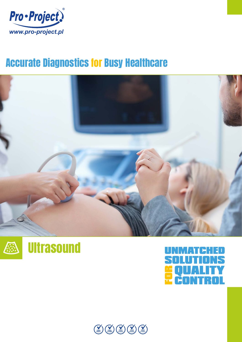

## Accurate Diagnostics for Busy Healthcare







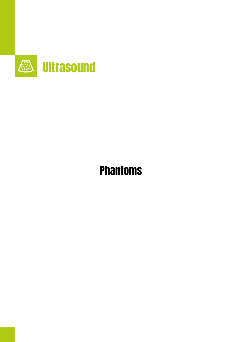

# Phantoms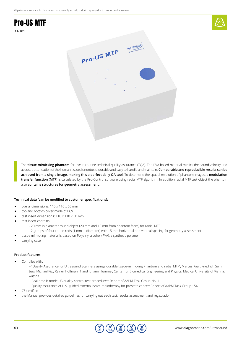### Pro-US MTF 11-101





The **tissue-mimicking phantom** for use in routine technical quality assurance (TQA). The PVA based material mimics the sound velocity and acoustic attenuation of the human tissue, is nontoxic, durable and easy to handle and maintain. **Comparable and reproducible results can be achieved from a single image, making this a perfect daily QA tool.** To determine the spatial resolution of phantom images, a **modulation transfer function (MTF)** is calculated by the Pro-Control software using radial MTF algorithm. In addition radial MTF test object the phantom also **contains structures for geometry assessment**.

### **Technical data (can be modified to customer specifications):**

- overal dimensions: 110 x 110 x 60 mm
- top and bottom cover made of PCV
- test insert dimensions: 110 x 110 x 50 mm
- test insert contains:
	- 20 mm in diameter round object (20 mm and 10 mm from phantom faces) for radial MTF
	- 2 groups of four round rods (1 mm in diameter) with 15 mm horizontal and vertical spacing for geometry assessment
	- tissue mimicking material is based on Polyvinyl alcohol (PVA), a synthetic polymer
- carrying case

#### **Product features:**

- Complies with:
	- "Quality Assurance for Ultrasound Scanners usinga durable tissue-mimicking Phantom and radial MTF", Marcus Kaar, Friedrich Sem turs, Michael Figl, Rainer Hoffmann1 and Johann Hummel, Center for Biomedical Engineering and Physics, Medical University of Vienna, Austria
	- Real-time B-mode US quality control test procedures: Report of AAPM Task Group No. 1
	- Quality assurance of U.S.-guided external beam radiotherapy for prostate cancer: Report of AAPM Task Group 154
- CE certified
- the Manual provides detailed guidelines for carrying out each test, results assessment and registration

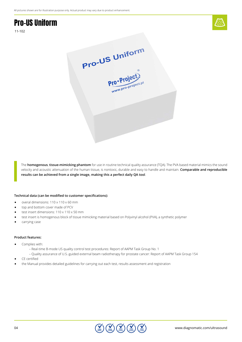### Pro-US Uniform





The **homogenous**, **tissue-mimicking phantom** for use in routine technical quality assurance (TQA). The PVA based material mimics the sound velocity and acoustic attenuation of the human tissue, is nontoxic, durable and easy to handle and maintain. **Comparable and reproducible results can be achieved from a single image, making this a perfect daily QA tool**.

#### **Technical data (can be modified to customer specifications):**

- overal dimensions: 110 x 110 x 60 mm
- top and bottom cover made of PCV
- test insert dimensions: 110 x 110 x 50 mm
- test insert is homogenous block of tissue mimicking material based on Polyvinyl alcohol (PVA), a synthetic polymer
- carrying case

### **Product features:**

- Complies with:
	- Real-time B-mode US quality control test procedures: Report of AAPM Task Group No. 1
	- Quality assurance of U.S.-guided external beam radiotherapy for prostate cancer: Report of AAPM Task Group 154
- CE certified
- the Manual provides detailed guidelines for carrying out each test, results assessment and registration